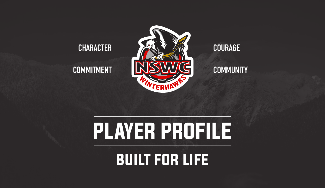

built for life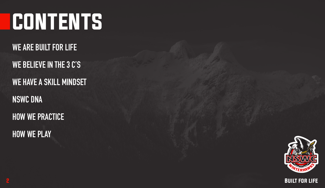# CONTENTS

**WE ARE BUILT FOR LIFE WE BELIEVE IN THE 3 C'S**

**WE HAVE A SKILL MINDSET**

**NSWC DNA**

**HOW WE PRACTICE HOW WE PLAY**



2 Built for life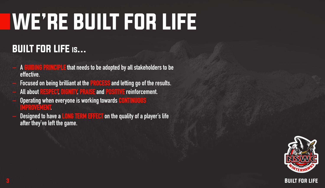# WE'RE BUILT FOR LIFE

# BUILT FOR LIFE is...

- **– A GUIDING PRINCIPLE that needs to be adopted by all stakeholders to be effective.**
- **– Focused on being brilliant at the PROCESS and letting go of the results.**
- **– All about RESPECT, DIGNITY, PRAISE and POSITIVE reinforcement.**
- **– Operating when everyone is working towards CONTINUOUS IMPROVEMENT.**
- **– Designed to have a LONG TERM EFFECT on the quality of a player's life after they've left the game.**



 $\bf{3}$  built for life. The set of life  $\bf{8}$  built for life.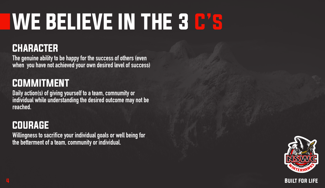# WE BELIEVE IN THE 3 C's

### CHARACTER

**The genuine ability to be happy for the success of others (even when you have not achieved your own desired level of success)**

## COMMITMENT

**Daily action(s) of giving yourself to a team, comnumity or individual while understanding the desired outcome may not be reached.**

### COURAGE

**Willingness to sacrifice your individual goals or well being for the betterment of a team, community or individual.**



4 Built for life and the set of the set of the set of the set of the set of the set of the set of the set of t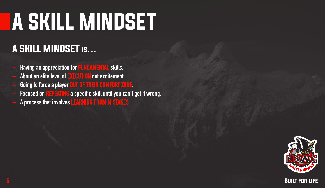# A SKILL MINDSET

# A SKILL MINDSET is…

- **– Having an appreciation for FUNDAMENTAL skills.**
- **– About an elite level of EXECUTION not excitement.**
- **– Going to force a player OUT OF THEIR COMFORT ZONE.**
- **– Focused on REPEATING a specific skill until you can't get it wrong.**
- **– A process that involves LEARNING FROM MISTAKES.**

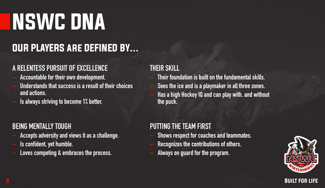# NSWC DNA

## OUR PLAYERS are DEFINED BY…

#### **A RELENTESS PURSUIT OF EXCELLENCE**

- **– Accountable for their own development.**
- **– Understands that success is a result of their choices and actions.**
- **– Is always striving to become 1% better.**

#### **BEING MENTALLY TOUGH**

- **– Accepts adversity and views it as a challenge.**
- **– Is confident, yet humble.**
- **– Loves competing & embraces the process.**

#### **THEIR SKILL**

- **– Their foundation is built on the fundamental skills.**
- **– Sees the ice and is a playmaker in all three zones.**
- **– Has a high Hockey IQ and can play with, and without the puck.**

#### **PUTTING THE TEAM FIRST**

- **– Shows respect for coaches and teammates.**
- **– Recognizes the contributions of others.**
- **– Always on guard for the program.**



#### $\overline{6}$  by the contract of the contract of the contract of the contract of the contract of the contract of the contract of the contract of the contract of the contract of the contract of the contract of the contract of t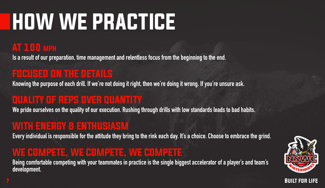# HOW WE PRACTICE

### AT 100 mph

**Is a result of our preparation, time management and relentless focus from the beginning to the end.**

### FOCUSED ON THE DETAILS

**Knowing the purpose of each drill. If we're not doing it right, then we're doing it wrong. If you're unsure ask.**

## QUALITY OF REPS OVER QUANTITY

**We pride ourselves on the quality of our execution. Rushing through drills with low standards leads to bad habits.**

### WITH ENERGY & ENTHUSIASM

**Every individual is responsible for the attitude they bring to the rink each day. It's a choice. Choose to embrace the grind.**

### WE COMPETE, WE COMPETE, WE COMPETE

**Being comfortable competing with your teammates in practice is the single biggest accelerator of a player's and team's development.**



7 Built for life